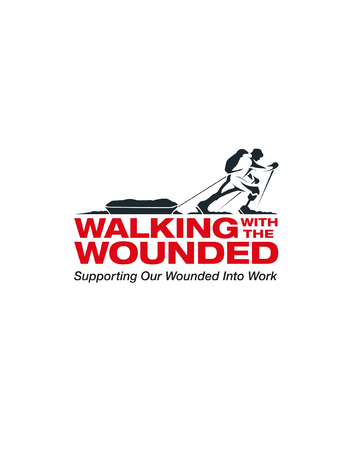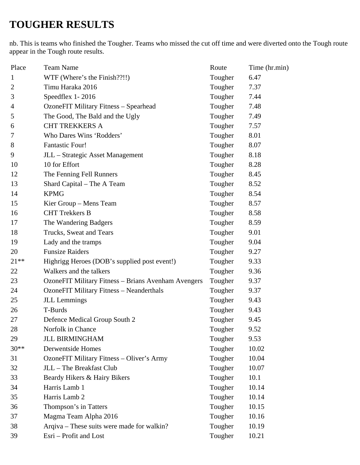## **TOUGHER RESULTS**

nb. This is teams who finished the Tougher. Teams who missed the cut off time and were diverted onto the Tough route appear in the Tough route results.

| Place          | <b>Team Name</b>                                           | Route   | Time (hr.min) |
|----------------|------------------------------------------------------------|---------|---------------|
| $\mathbf{1}$   | WTF (Where's the Finish??!!)                               | Tougher | 6.47          |
| $\overline{2}$ | Timu Haraka 2016                                           | Tougher | 7.37          |
| 3              | Speedflex 1-2016                                           | Tougher | 7.44          |
| 4              | OzoneFIT Military Fitness - Spearhead                      | Tougher | 7.48          |
| 5              | The Good, The Bald and the Ugly                            | Tougher | 7.49          |
| 6              | <b>CHT TREKKERS A</b>                                      | Tougher | 7.57          |
| 7              | Who Dares Wins 'Rodders'                                   | Tougher | 8.01          |
| 8              | <b>Fantastic Four!</b>                                     | Tougher | 8.07          |
| 9              | JLL - Strategic Asset Management                           | Tougher | 8.18          |
| 10             | 10 for Effort                                              | Tougher | 8.28          |
| 12             | The Fenning Fell Runners                                   | Tougher | 8.45          |
| 13             | Shard Capital - The A Team                                 | Tougher | 8.52          |
| 14             | <b>KPMG</b>                                                | Tougher | 8.54          |
| 15             | Kier Group – Mens Team                                     | Tougher | 8.57          |
| 16             | <b>CHT</b> Trekkers B                                      | Tougher | 8.58          |
| 17             | The Wandering Badgers                                      | Tougher | 8.59          |
| 18             | Trucks, Sweat and Tears                                    | Tougher | 9.01          |
| 19             | Lady and the tramps                                        | Tougher | 9.04          |
| 20             | <b>Funsize Raiders</b>                                     | Tougher | 9.27          |
| $21**$         | Highrigg Heroes (DOB's supplied post event!)               | Tougher | 9.33          |
| 22             | Walkers and the talkers                                    | Tougher | 9.36          |
| 23             | <b>OzoneFIT Military Fitness - Brians Avenham Avengers</b> | Tougher | 9.37          |
| 24             | <b>OzoneFIT Military Fitness - Neanderthals</b>            | Tougher | 9.37          |
| 25             | <b>JLL</b> Lemmings                                        | Tougher | 9.43          |
| 26             | T-Burds                                                    | Tougher | 9.43          |
| 27             | Defence Medical Group South 2                              | Tougher | 9.45          |
| 28             | Norfolk in Chance                                          | Tougher | 9.52          |
| 29             | <b>JLL BIRMINGHAM</b>                                      | Tougher | 9.53          |
| $30**$         | <b>Derwentside Homes</b>                                   | Tougher | 10.02         |
| 31             | <b>OzoneFIT Military Fitness - Oliver's Army</b>           | Tougher | 10.04         |
| 32             | JLL - The Breakfast Club                                   | Tougher | 10.07         |
| 33             | Beardy Hikers & Hairy Bikers                               | Tougher | 10.1          |
| 34             | Harris Lamb 1                                              | Tougher | 10.14         |
| 35             | Harris Lamb 2                                              | Tougher | 10.14         |
| 36             | Thompson's in Tatters                                      | Tougher | 10.15         |
| 37             | Magma Team Alpha 2016                                      | Tougher | 10.16         |
| 38             | Arqiva - These suits were made for walkin?                 | Tougher | 10.19         |
| 39             | Esri - Profit and Lost                                     | Tougher | 10.21         |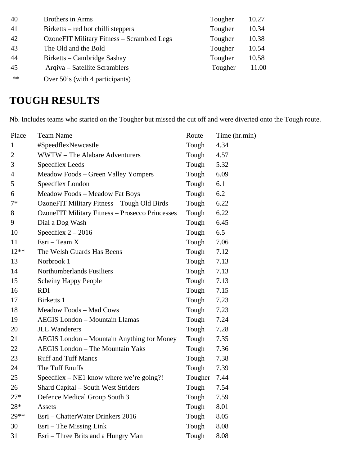| 40   | <b>Brothers in Arms</b>                    | Tougher | 10.27 |
|------|--------------------------------------------|---------|-------|
| 41   | Birketts – red hot chilli steppers         | Tougher | 10.34 |
| 42   | OzoneFIT Military Fitness – Scrambled Legs | Tougher | 10.38 |
| 43   | The Old and the Bold                       | Tougher | 10.54 |
| 44   | Birketts – Cambridge Sashay                | Tougher | 10.58 |
| 45   | Arqiva – Satellite Scramblers              | Tougher | 11.00 |
| $**$ | Over 50's (with 4 participants)            |         |       |

## **TOUGH RESULTS**

Nb. Includes teams who started on the Tougher but missed the cut off and were diverted onto the Tough route.

| Place          | <b>Team Name</b>                                       | Route   | Time (hr.min) |
|----------------|--------------------------------------------------------|---------|---------------|
| $\mathbf{1}$   | #SpeedflexNewcastle                                    | Tough   | 4.34          |
| $\overline{2}$ | <b>WWTW</b> – The Alabare Adventurers                  | Tough   | 4.57          |
| 3              | <b>Speedflex Leeds</b>                                 | Tough   | 5.32          |
| 4              | Meadow Foods – Green Valley Yompers                    | Tough   | 6.09          |
| 5              | Speedflex London                                       | Tough   | 6.1           |
| 6              | Meadow Foods - Meadow Fat Boys                         | Tough   | 6.2           |
| $7*$           | OzoneFIT Military Fitness - Tough Old Birds            | Tough   | 6.22          |
| 8              | <b>OzoneFIT Military Fitness - Prosecco Princesses</b> | Tough   | 6.22          |
| 9              | Dial a Dog Wash                                        | Tough   | 6.45          |
| 10             | Speedflex $2 - 2016$                                   | Tough   | 6.5           |
| 11             | $E$ sri – Team X                                       | Tough   | 7.06          |
| $12**$         | The Welsh Guards Has Beens                             | Tough   | 7.12          |
| 13             | Norbrook 1                                             | Tough   | 7.13          |
| 14             | <b>Northumberlands Fusiliers</b>                       | Tough   | 7.13          |
| 15             | <b>Scheiny Happy People</b>                            | Tough   | 7.13          |
| 16             | <b>RDI</b>                                             | Tough   | 7.15          |
| 17             | Birketts 1                                             | Tough   | 7.23          |
| 18             | Meadow Foods - Mad Cows                                | Tough   | 7.23          |
| 19             | <b>AEGIS London - Mountain Llamas</b>                  | Tough   | 7.24          |
| 20             | <b>JLL Wanderers</b>                                   | Tough   | 7.28          |
| 21             | <b>AEGIS</b> London – Mountain Anything for Money      | Tough   | 7.35          |
| 22             | <b>AEGIS London - The Mountain Yaks</b>                | Tough   | 7.36          |
| 23             | <b>Ruff and Tuff Mancs</b>                             | Tough   | 7.38          |
| 24             | The Tuff Enuffs                                        | Tough   | 7.39          |
| 25             | Speedflex – NE1 know where we're going?!               | Tougher | 7.44          |
| 26             | <b>Shard Capital – South West Striders</b>             | Tough   | 7.54          |
| $27*$          | Defence Medical Group South 3                          | Tough   | 7.59          |
| $28*$          | <b>Assets</b>                                          | Tough   | 8.01          |
| 29 **          | Esri – ChatterWater Drinkers 2016                      | Tough   | 8.05          |
| 30             | Esri – The Missing Link                                | Tough   | 8.08          |
| 31             | Esri - Three Brits and a Hungry Man                    | Tough   | 8.08          |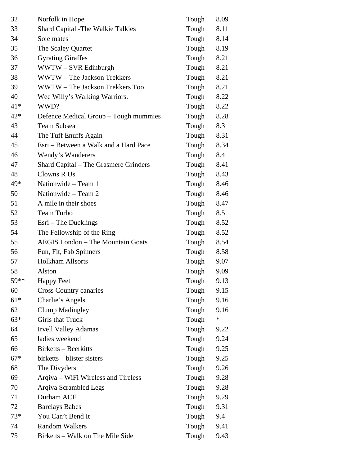| 32    | Norfolk in Hope                       | Tough | 8.09   |
|-------|---------------------------------------|-------|--------|
| 33    | Shard Capital -The Walkie Talkies     | Tough | 8.11   |
| 34    | Sole mates                            | Tough | 8.14   |
| 35    | The Scaley Quartet                    | Tough | 8.19   |
| 36    | <b>Gyrating Giraffes</b>              | Tough | 8.21   |
| 37    | WWTW - SVR Edinburgh                  | Tough | 8.21   |
| 38    | WWTW - The Jackson Trekkers           | Tough | 8.21   |
| 39    | WWTW - The Jackson Trekkers Too       | Tough | 8.21   |
| 40    | Wee Willy's Walking Warriors.         | Tough | 8.22   |
| $41*$ | WWD?                                  | Tough | 8.22   |
| $42*$ | Defence Medical Group - Tough mummies | Tough | 8.28   |
| 43    | Team Subsea                           | Tough | 8.3    |
| 44    | The Tuff Enuffs Again                 | Tough | 8.31   |
| 45    | Esri – Between a Walk and a Hard Pace | Tough | 8.34   |
| 46    | Wendy's Wanderers                     | Tough | 8.4    |
| 47    | Shard Capital – The Grasmere Grinders | Tough | 8.41   |
| 48    | Clowns R Us                           | Tough | 8.43   |
| 49*   | Nationwide - Team 1                   | Tough | 8.46   |
| 50    | Nationwide - Team 2                   | Tough | 8.46   |
| 51    | A mile in their shoes                 | Tough | 8.47   |
| 52    | Team Turbo                            | Tough | 8.5    |
| 53    | $\text{Esri} - \text{The Ducklings}$  | Tough | 8.52   |
| 54    | The Fellowship of the Ring            | Tough | 8.52   |
| 55    | AEGIS London - The Mountain Goats     | Tough | 8.54   |
| 56    | Fun, Fit, Fab Spinners                | Tough | 8.58   |
| 57    | <b>Holkham Allsorts</b>               | Tough | 9.07   |
| 58    | Alston                                | Tough | 9.09   |
| 59**  | <b>Happy Feet</b>                     | Tough | 9.13   |
| 60    | <b>Cross Country canaries</b>         | Tough | 9.15   |
| $61*$ | Charlie's Angels                      | Tough | 9.16   |
| 62    | <b>Clump Madingley</b>                | Tough | 9.16   |
| $63*$ | <b>Girls that Truck</b>               | Tough | $\ast$ |
| 64    | <b>Irvell Valley Adamas</b>           | Tough | 9.22   |
| 65    | ladies weekend                        | Tough | 9.24   |
| 66    | Birketts – Beerkitts                  | Tough | 9.25   |
| $67*$ | birketts – blister sisters            | Tough | 9.25   |
| 68    | The Divyders                          | Tough | 9.26   |
| 69    | Arqiva – WiFi Wireless and Tireless   | Tough | 9.28   |
| 70    | Arqiva Scrambled Legs                 | Tough | 9.28   |
| 71    | Durham ACF                            | Tough | 9.29   |
| 72    | <b>Barclays Babes</b>                 | Tough | 9.31   |
| $73*$ | You Can't Bend It                     | Tough | 9.4    |
| 74    | <b>Random Walkers</b>                 | Tough | 9.41   |
| 75    | Birketts – Walk on The Mile Side      | Tough | 9.43   |